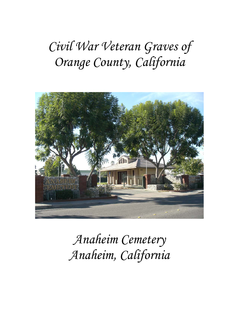# *Civil War Veteran Graves of Orange County, California*



*Anaheim Cemetery Anaheim, California*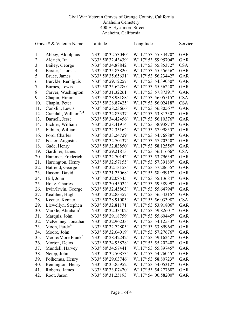| Grave # $&$ Veteran Name |                                   | Latitude           | Longitude           | Service    |
|--------------------------|-----------------------------------|--------------------|---------------------|------------|
|                          |                                   |                    |                     |            |
| 1.                       | Abbey, Aldolphus                  | N33° 50' 32.53040" | W117° 53' 55.34470" | <b>GAR</b> |
| 2.                       | Aldrich, Ira                      | N33° 50' 32.43439" | W117° 53' 59.95704" | GAR        |
| 3.                       | Bailey, George                    | N33° 50' 34.88842" | W117° 53' 55.85372" | <b>CSA</b> |
| 4.                       | Baxter, Thomas                    | N33° 50' 35.83820" | W117° 53' 55.55656" | <b>GAR</b> |
| 5.                       | Bruce, James                      | N33° 50' 35.65631" | W117° 53' 56.23442" | <b>GAR</b> |
| 6.                       | Burckle, Remiguis                 | N33° 50' 29.12257" | W117° 53' 54.39050" | GAR        |
| 7.                       | Burnes, Lewis                     | N33° 50' 35.62280" | W117° 53' 55.36240" | GAR        |
| 8.                       | Carver, Washington                | N33° 50' 31.32261" | W117° 53' 57.87391" | GAR        |
| 9.                       | Chapin, Hiram                     | N33° 50' 28.98188" | W117° 53' 56.05515" | <b>CSA</b> |
| 10.                      | Chapin, Peter                     | N33° 50' 28.87425" | W117° 53' 56.02418" | <b>CSA</b> |
| 11.                      | Conklin, Lewis                    | N33° 50' 28.23666" | W117° 53' 56.80567" | <b>GAR</b> |
| 12.                      | Crandall, William <sup>2, 4</sup> | N33° 50' 32.83337" | W117° 53' 53.81330" | <b>GAR</b> |
| 13.                      | Darnell, Jesse                    | N33° 50' 34.42456" | W117° 53' 56.10376" | <b>GAR</b> |
| 14.                      | Eichler, William                  | N33° 50' 28.41914" | W117° 53' 58.93874" | <b>GAR</b> |
| 15.                      | Fithian, William                  | N33° 50' 32.35162" | W117° 53' 57.99835" | <b>GAR</b> |
| 16.                      | Ford, Charles                     | N33° 50' 33.24729" | W117° 53' 54.76888" | <b>GAR</b> |
| 17.                      | Foster, Augustus                  | N33° 50' 32.70437" | W117° 53' 57.70340" | <b>GAR</b> |
| 18.                      | Gade, Henry                       | N33° 50' 32.83850" | W117° 53' 58.12556" | GAR        |
| 19.                      | Gardiner, James                   | N33° 50' 29.21813" | W117° 53' 56.11666" | <b>CSA</b> |
| 20.                      | Hammer, Frederich                 | N33° 50' 32.70142" | W117° 53' 53.79634" | GAR        |
| 21.                      | Harrington, Henry                 | N33° 50' 32.57155" | W117° 53' 57.39189" | <b>GAR</b> |
| 22.                      | Hatfield, George                  | N33° 50' 32.13158" | W117° 53' 57.28655" | <b>GAR</b> |
| 23.                      | Hasson, David                     | N33° 50' 31.23068" | W117° 53' 58.99917" | <b>GAR</b> |
| 24.                      | Hill, John                        | N33° 50' 32.08545" | W117° 53' 55.13684" | <b>GAR</b> |
| 25.                      | Houg, Charles                     | N33° 50' 30.45024" | W117° 53' 59.38999" | <b>GAR</b> |
| 26.                      | Irvin/Irwin, George               | N33° 50' 32.45803" | W117° 53' 55.64794" | GAR        |
| 27.                      | Kealiher, Hugh                    | N33° 50' 32.83357" | W117° 53' 56.54315" | GAR        |
| 28.                      | Keener, Kenner                    | N33° 50' 28.91003" | W117° 53' 56.03398" | <b>CSA</b> |
| 29.                      | Llewellyn, Stephen                | N33° 50' 32.81171" | W117° 53' 53.91806" | <b>GAR</b> |
| 30.                      | Markle, Abraham <sup>1</sup>      | N33° 50' 32.33402" | W117° 53' 59.82601" | <b>GAR</b> |
| 31.                      | Marquis, John                     | N33° 50' 29.18759" | W117° 53' 55.60445" | GAR        |
| 32.                      | McKenney, Jonathan                | N33° 50' 32.96233" | W117° 53' 54.12533" | GAR        |
| 33.                      | Moon, Pardy <sup>4</sup>          | N33° 50' 32.72805" | W117° 53' 53.89964" | GAR        |
| 34.                      | Moore, John                       | N33° 50' 32.04019" | W117° 53' 57.27676" | GAR        |
| 35.                      | Moore/More Frank <sup>3</sup>     | N33° 50' 28.42242" | W117° 53' 59.16242" | <b>GAR</b> |
| 36.                      | Morton, Delos                     | N33° 50' 34.93828" | W117° 53' 55.20240" | GAR        |
| 37.                      | Mundell, Harvey                   | N33° 50' 34.57441" | W117° 53' 55.89745" | <b>GAR</b> |
| 38.                      | Neipp, John                       | N33° 50' 32.50873" | W117° 53' 54.76045" | <b>GAR</b> |
| 39.                      | Polhemus, Henry                   | N33° 50' 29.03746" | W117° 53' 58.80723" | <b>GAR</b> |
| 40.                      | Remington, Henry                  | N33° 50' 35.85952" | W117° 53' 54.05312" | <b>GAR</b> |
| 41.                      | Roberts, James                    | N33° 50' 33.07420" | W117° 53' 54.27768" | GAR        |
| 42.                      | Root, Jason                       | N33° 50' 31.25193" | W117° 54' 00.58200" | <b>GAR</b> |
|                          |                                   |                    |                     |            |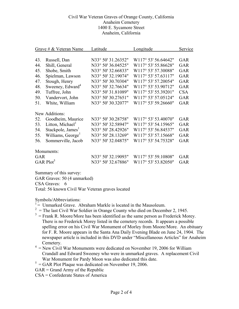| Grave # $&$ Veteran Name |                               | Latitude           | Longitude                        | Service    |
|--------------------------|-------------------------------|--------------------|----------------------------------|------------|
|                          |                               |                    |                                  |            |
| 43.                      | Russell, Dan                  | N33° 50' 31.26352" | W <sub>117</sub> ° 53' 56.64642" | <b>GAR</b> |
| 44.                      | Shill, General                | N33° 50' 36.04525" | W117° 53' 55.86628"              | <b>GAR</b> |
| 45.                      | Shobe, Smith                  | N33° 50' 32.66833" | W117° 53' 57.30088"              | <b>GAR</b> |
| 46.                      | Spielman, Lawson              | N33° 50' 32.19074" | W117° 53' 57.63117"              | <b>GAR</b> |
| 47.                      | Stough, Henry                 | N33° 50' 30.70304" | W117° 53' 57.20054"              | <b>GAR</b> |
| 48.                      | Sweeney, Edward <sup>4</sup>  | N33° 50' 32.76634" | W117° 53' 53.90712"              | <b>GAR</b> |
| 49.                      | Tuffree, John                 | N33° 50' 31.81089" | W117° 53' 55.39201"              | <b>CSA</b> |
| 50.                      | Vandervort, John              | N33° 50' 30.27651" | W117° 53' 57.05124"              | <b>GAR</b> |
| 51.                      | White, William                | N33° 50' 30.32077" | W117° 53' 59.26660"              | GAR        |
|                          | New Additions:                |                    |                                  |            |
| 52.                      | Goodheim, Maurice             | N33° 50' 30.28758" | W117° 53' 53.40070"              | <b>GAR</b> |
| 53.                      | Litton, Michael               | N33° 50' 32.58947" | W117° 53' 54.15965"              | <b>GAR</b> |
| 54.                      | Stackpole, James <sup>1</sup> | N33° 50' 28.42926" | W117° 53' 56.84537"              | <b>GAR</b> |
| 55.                      | Williams, George <sup>1</sup> | N33° 50' 28.13269" | W117° 53' 57.15668"              | GAR        |
| 56.                      | Sommerville, Jacob            | N33° 50' 32.04875" | W117° 53' 54.75328"              | <b>GAR</b> |
|                          | Monuments:                    |                    |                                  |            |
| GAR                      |                               | N33° 50' 32.19093" | W117° 53' 59.10808"              | <b>GAR</b> |
| GAR $Plot5$              |                               | N33° 50' 32.67886" | W117° 53' 53.82050"              | <b>GAR</b> |

Summary of this survey:

GAR Graves: 50 (4 unmarked)

CSA Graves: 6

Total: 56 known Civil War Veteran graves located

Symbols/Abbreviations:

- $1 =$  Unmarked Grave. Abraham Markle is located in the Mausoleum.
- $2 =$  The last Civil War Soldier in Orange County who died on December 2, 1945.
- $3 =$  Frank R. Moore/More has been identified as the same person as Frederick Morey. There is no Frederick Morey listed in the cemetery records. It appears a possible spelling error on his Civil War Monument of Morley from Moore/More. An obituary for F. R. Moore appears in the Santa Ana Daily Evening Blade on June 24, 1904. The newspaper article is included in this DVD under "Miscellaneous Articles" for Anaheim Cemetery.
- $4 =$  New Civil War Monuments were dedicated on November 19, 2006 for William Crandall and Edward Sweeney who were in unmarked graves. A replacement Civil War Monument for Pardy Moon was also dedicated this date.
- $<sup>5</sup>$  = GAR Plot Plaque was dedicated on November 19, 2006.</sup>
- GAR = Grand Army of the Republic
- CSA = Confederate States of America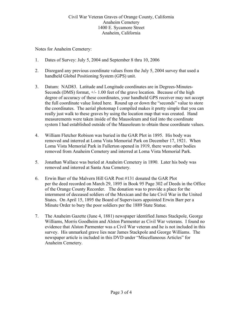Notes for Anaheim Cemetery:

- 1. Dates of Survey: July 5, 2004 and September 8 thru 10, 2006
- 2. Disregard any previous coordinate values from the July 5, 2004 survey that used a handheld Global Positioning System (GPS) unit.
- 3. Datum: NAD83. Latitude and Longitude coordinates are in Degrees-Minutes-Seconds (DMS) format, +/- 1.00 feet of the grave location. Because of the high degree of accuracy of these coordinates, your handheld GPS receiver may not accept the full coordinate value listed here. Round up or down the "seconds" value to store the coordinates. The aerial photomap I compiled makes it pretty simple that you can really just walk to these graves by using the location map that was created. Hand measurements were taken inside of the Mausoleum and tied into the coordinate system I had established outside of the Mausoleum to obtain these coordinate values.
- 4. William Fletcher Robison was buried in the GAR Plot in 1895. His body was removed and interred at Loma Vista Memorial Park on December 17, 1921. When Loma Vista Memorial Park in Fullerton opened in 1919, there were other bodies removed from Anaheim Cemetery and interred at Loma Vista Memorial Park.
- 5. Jonathan Wallace was buried at Anaheim Cemetery in 1890. Later his body was removed and interred at Santa Ana Cemetery.
- 6. Erwin Barr of the Malvern Hill GAR Post #131 donated the GAR Plot per the deed recorded on March 29, 1895 in Book 95 Page 302 of Deeds in the Office of the Orange County Recorder. The donation was to provide a place for the internment of deceased soldiers of the Mexican and the late Civil War in the United States. On April 15, 1895 the Board of Supervisors appointed Erwin Barr per a Minute Order to bury the poor soldiers per the 1889 State Statue.
- 7. The Anaheim Gazette (June 4, 1881) newspaper identified James Stackpole, George Williams, Morris Goodheim and Alston Parmenter as Civil War veterans. I found no evidence that Alston Parmenter was a Civil War veteran and he is not included in this survey. His unmarked grave lies near James Stackpole and George Williams. The newspaper article is included in this DVD under "Miscellaneous Articles" for Anaheim Cemetery.